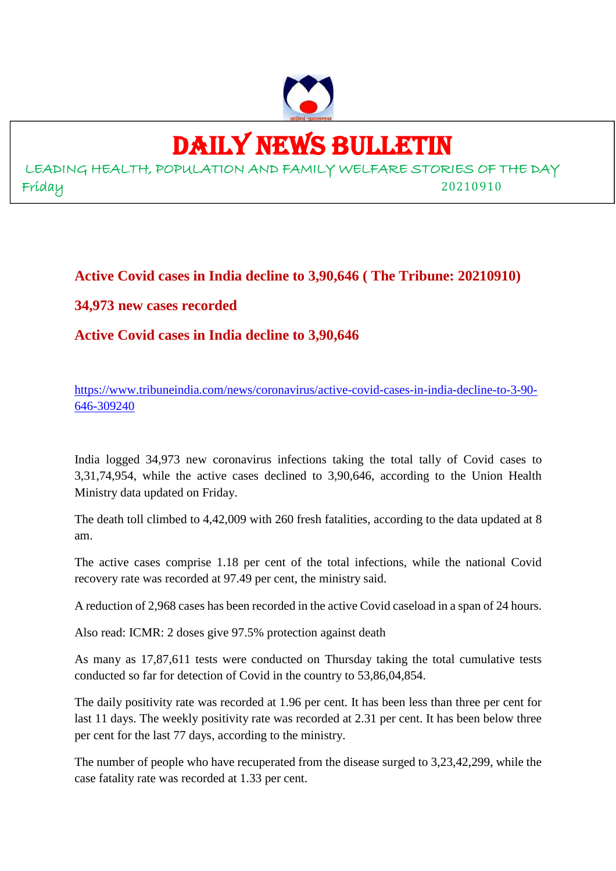

# DAILY NEWS BULLETIN

LEADING HEALTH, POPULATION AND FAMILY WELFARE STORIES OF THE DAY Friday 20210910

**Active Covid cases in India decline to 3,90,646 ( The Tribune: 20210910)**

## **34,973 new cases recorded**

**Active Covid cases in India decline to 3,90,646**

https://www.tribuneindia.com/news/coronavirus/active-covid-cases-in-india-decline-to-3-90- 646-309240

India logged 34,973 new coronavirus infections taking the total tally of Covid cases to 3,31,74,954, while the active cases declined to 3,90,646, according to the Union Health Ministry data updated on Friday.

The death toll climbed to 4,42,009 with 260 fresh fatalities, according to the data updated at 8 am.

The active cases comprise 1.18 per cent of the total infections, while the national Covid recovery rate was recorded at 97.49 per cent, the ministry said.

A reduction of 2,968 cases has been recorded in the active Covid caseload in a span of 24 hours.

Also read: ICMR: 2 doses give 97.5% protection against death

As many as 17,87,611 tests were conducted on Thursday taking the total cumulative tests conducted so far for detection of Covid in the country to 53,86,04,854.

The daily positivity rate was recorded at 1.96 per cent. It has been less than three per cent for last 11 days. The weekly positivity rate was recorded at 2.31 per cent. It has been below three per cent for the last 77 days, according to the ministry.

The number of people who have recuperated from the disease surged to 3,23,42,299, while the case fatality rate was recorded at 1.33 per cent.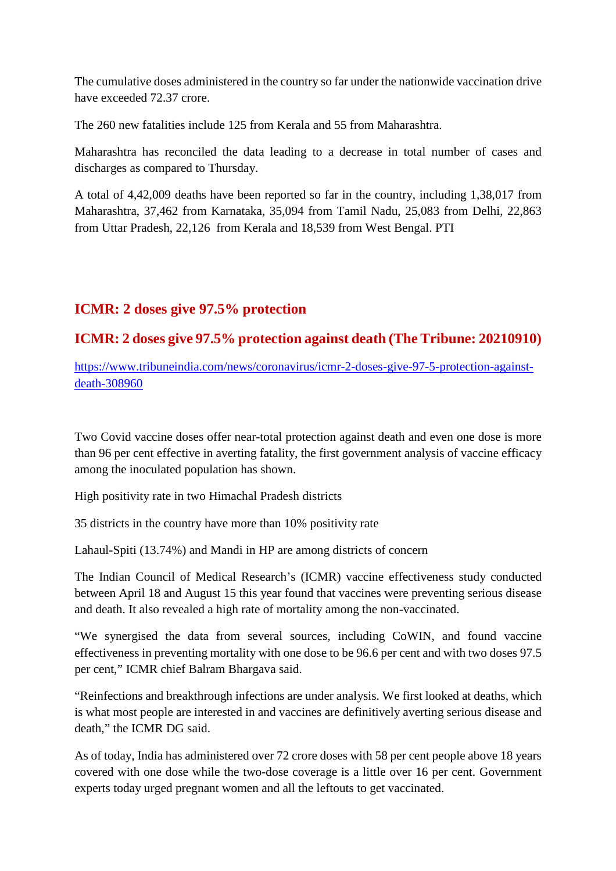The cumulative doses administered in the country so far under the nationwide vaccination drive have exceeded 72.37 crore.

The 260 new fatalities include 125 from Kerala and 55 from Maharashtra.

Maharashtra has reconciled the data leading to a decrease in total number of cases and discharges as compared to Thursday.

A total of 4,42,009 deaths have been reported so far in the country, including 1,38,017 from Maharashtra, 37,462 from Karnataka, 35,094 from Tamil Nadu, 25,083 from Delhi, 22,863 from Uttar Pradesh, 22,126 from Kerala and 18,539 from West Bengal. PTI

# **ICMR: 2 doses give 97.5% protection**

## **ICMR: 2 doses give 97.5% protection against death (The Tribune: 20210910)**

https://www.tribuneindia.com/news/coronavirus/icmr-2-doses-give-97-5-protection-againstdeath-308960

Two Covid vaccine doses offer near-total protection against death and even one dose is more than 96 per cent effective in averting fatality, the first government analysis of vaccine efficacy among the inoculated population has shown.

High positivity rate in two Himachal Pradesh districts

35 districts in the country have more than 10% positivity rate

Lahaul-Spiti (13.74%) and Mandi in HP are among districts of concern

The Indian Council of Medical Research's (ICMR) vaccine effectiveness study conducted between April 18 and August 15 this year found that vaccines were preventing serious disease and death. It also revealed a high rate of mortality among the non-vaccinated.

"We synergised the data from several sources, including CoWIN, and found vaccine effectiveness in preventing mortality with one dose to be 96.6 per cent and with two doses 97.5 per cent," ICMR chief Balram Bhargava said.

"Reinfections and breakthrough infections are under analysis. We first looked at deaths, which is what most people are interested in and vaccines are definitively averting serious disease and death," the ICMR DG said.

As of today, India has administered over 72 crore doses with 58 per cent people above 18 years covered with one dose while the two-dose coverage is a little over 16 per cent. Government experts today urged pregnant women and all the leftouts to get vaccinated.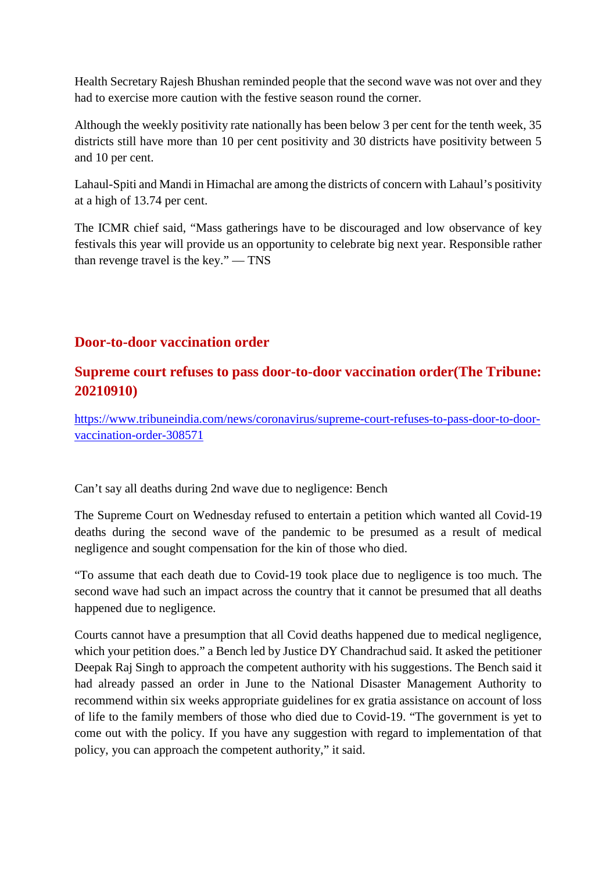Health Secretary Rajesh Bhushan reminded people that the second wave was not over and they had to exercise more caution with the festive season round the corner.

Although the weekly positivity rate nationally has been below 3 per cent for the tenth week, 35 districts still have more than 10 per cent positivity and 30 districts have positivity between 5 and 10 per cent.

Lahaul-Spiti and Mandi in Himachal are among the districts of concern with Lahaul's positivity at a high of 13.74 per cent.

The ICMR chief said, "Mass gatherings have to be discouraged and low observance of key festivals this year will provide us an opportunity to celebrate big next year. Responsible rather than revenge travel is the key." — TNS

## **Door-to-door vaccination order**

# **Supreme court refuses to pass door-to-door vaccination order(The Tribune: 20210910)**

https://www.tribuneindia.com/news/coronavirus/supreme-court-refuses-to-pass-door-to-doorvaccination-order-308571

Can't say all deaths during 2nd wave due to negligence: Bench

The Supreme Court on Wednesday refused to entertain a petition which wanted all Covid-19 deaths during the second wave of the pandemic to be presumed as a result of medical negligence and sought compensation for the kin of those who died.

"To assume that each death due to Covid-19 took place due to negligence is too much. The second wave had such an impact across the country that it cannot be presumed that all deaths happened due to negligence.

Courts cannot have a presumption that all Covid deaths happened due to medical negligence, which your petition does." a Bench led by Justice DY Chandrachud said. It asked the petitioner Deepak Raj Singh to approach the competent authority with his suggestions. The Bench said it had already passed an order in June to the National Disaster Management Authority to recommend within six weeks appropriate guidelines for ex gratia assistance on account of loss of life to the family members of those who died due to Covid-19. "The government is yet to come out with the policy. If you have any suggestion with regard to implementation of that policy, you can approach the competent authority," it said.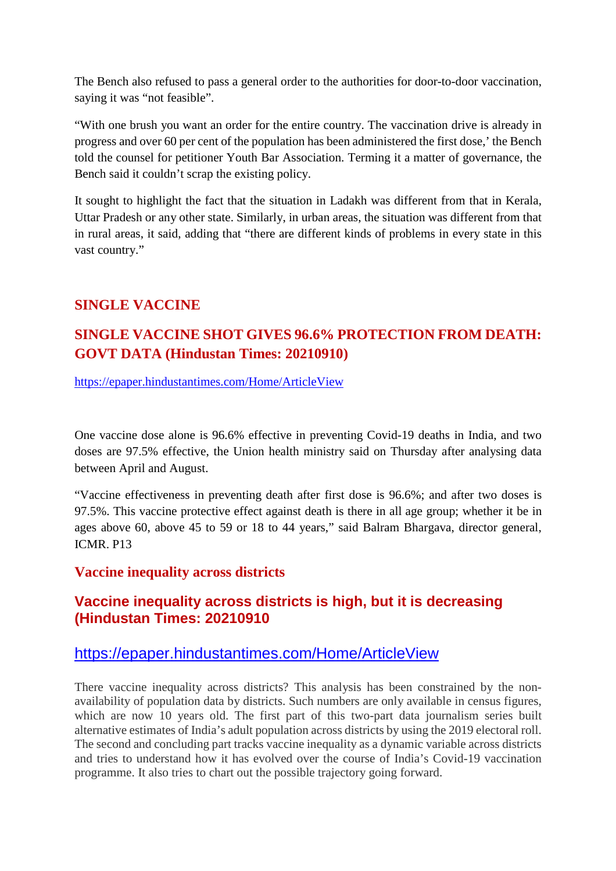The Bench also refused to pass a general order to the authorities for door-to-door vaccination, saying it was "not feasible".

"With one brush you want an order for the entire country. The vaccination drive is already in progress and over 60 per cent of the population has been administered the first dose,' the Bench told the counsel for petitioner Youth Bar Association. Terming it a matter of governance, the Bench said it couldn't scrap the existing policy.

It sought to highlight the fact that the situation in Ladakh was different from that in Kerala, Uttar Pradesh or any other state. Similarly, in urban areas, the situation was different from that in rural areas, it said, adding that "there are different kinds of problems in every state in this vast country."

## **SINGLE VACCINE**

# **SINGLE VACCINE SHOT GIVES 96.6% PROTECTION FROM DEATH: GOVT DATA (Hindustan Times: 20210910)**

https://epaper.hindustantimes.com/Home/ArticleView

One vaccine dose alone is 96.6% effective in preventing Covid-19 deaths in India, and two doses are 97.5% effective, the Union health ministry said on Thursday after analysing data between April and August.

"Vaccine effectiveness in preventing death after first dose is 96.6%; and after two doses is 97.5%. This vaccine protective effect against death is there in all age group; whether it be in ages above 60, above 45 to 59 or 18 to 44 years," said Balram Bhargava, director general, ICMR. P13

### **Vaccine inequality across districts**

# **Vaccine inequality across districts is high, but it is decreasing (Hindustan Times: 20210910**

## https://epaper.hindustantimes.com/Home/ArticleView

There vaccine inequality across districts? This analysis has been constrained by the nonavailability of population data by districts. Such numbers are only available in census figures, which are now 10 years old. The first part of this two-part data journalism series built alternative estimates of India's adult population across districts by using the 2019 electoral roll. The second and concluding part tracks vaccine inequality as a dynamic variable across districts and tries to understand how it has evolved over the course of India's Covid-19 vaccination programme. It also tries to chart out the possible trajectory going forward.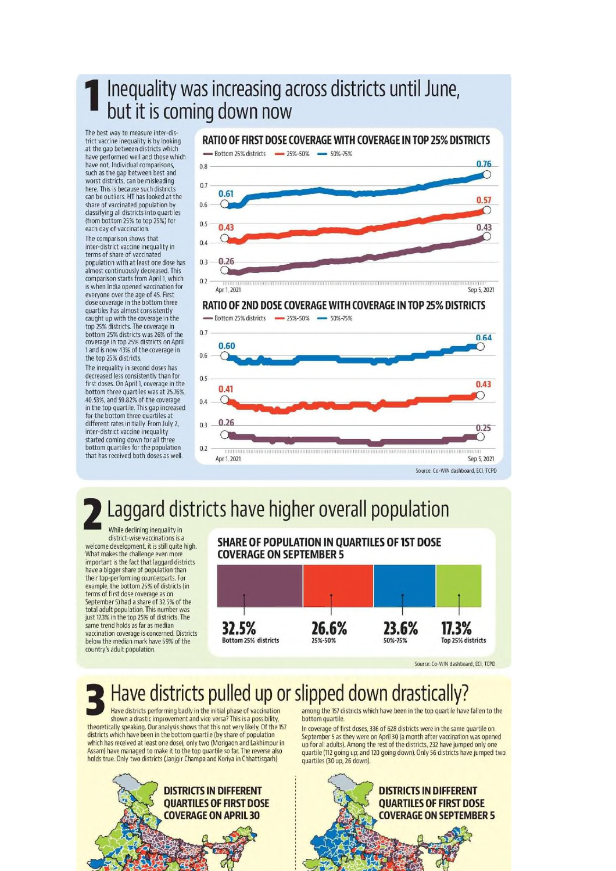# Inequality was increasing across districts until June, but it is coming down now

The best way to measure inter-district vaccine inequality is by looking<br>at the gap between districts which have performed well and those which have not. Individual comparisons, such as the gap between best and worst districts, can be misleading here. This is because such districts can be outliers. HT has looked at the share of vaccinated population by classifying all districts into quartiles (from bottom 25% to top 25%) for each day of vaccination.

The comparison shows that inter-district vaccine inequality in terms of share of vaccinated population with at least one dose has almost continuously decreased. This comparison starts from April 1, which is when India opened vaccination for<br>everyone over the age of 45. First dose coverage in the bottom three quartiles has almost consistently caught up with the coverage in the top 25% districts. The coverage in bottom 25% districts was 26% of the coverage in top 25% districts on April<br>1 and is now 43% of the coverage in the top 25% districts.

The inequality in second doses has decreased less consistently than for first doses. On April 1, coverage in the bottom three quartiles was at 25.76%,<br>40.53%, and 59.82% of the coverage in the top quartile. This gap increased for the bottom three quartiles at different rates initially. From July 2. inter-district vaccine inequality started coming down for all three bottom quartiles for the population that has received both doses as well.



# Laggard districts have higher overall population

While declining inequality in district-wise vaccinations is a elcome development, it is still quite high. What makes the challenge even more<br>important is the fact that laggard districts have a bigger share of population than their top-performing counterparts. For example, the bottom 25% of districts (in terms of first dose coverage as on September 5) had a share of 32.5% of the total adult population. This number was<br>just 17.3% in the top 25% of districts. The<br>same trend holds as far as median vaccination coverage is concerned. Districts below the median mark have 59% of the country's adult population.





Source: Co-WIN dashboard, ECL TCPD

# Have districts pulled up or slipped down drastically?

Have districts performing badly in the initial phase of vaccination shown a drastic improvement and vice versa? This is a possibility. theoretically speaking. Our analysis shows that this not very likely. Of the 157 districts which have been in the bottom quartile (by share of population which has received at least one dose), only two (Morigaon and Lakhimpur in Assam) have managed to make it to the top quartile so far. The reverse also<br>holds true. Only two districts (lanjgir Champa and Koriya in Chhattisgarh)



among the 157 districts which have been in the top quartile have fallen to the bottom quartile

In coverage of first doses, 336 of 628 districts were in the same quartile on September 5 as they were on April 30 (a month after vaccination was opened up for all adults). Among the rest of the districts, 232 have jumped only one quartile (112 going up; and 120 going down). Only 56 districts have jumped two quartiles (30 up, 26 down).

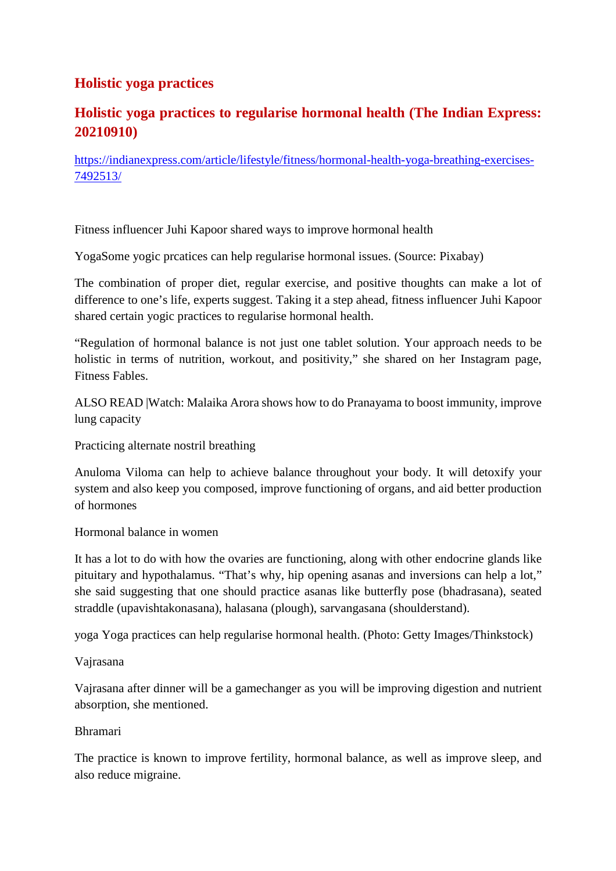# **Holistic yoga practices**

# **Holistic yoga practices to regularise hormonal health (The Indian Express: 20210910)**

https://indianexpress.com/article/lifestyle/fitness/hormonal-health-yoga-breathing-exercises-7492513/

Fitness influencer Juhi Kapoor shared ways to improve hormonal health

YogaSome yogic prcatices can help regularise hormonal issues. (Source: Pixabay)

The combination of proper diet, regular exercise, and positive thoughts can make a lot of difference to one's life, experts suggest. Taking it a step ahead, fitness influencer Juhi Kapoor shared certain yogic practices to regularise hormonal health.

"Regulation of hormonal balance is not just one tablet solution. Your approach needs to be holistic in terms of nutrition, workout, and positivity," she shared on her Instagram page, Fitness Fables.

ALSO READ |Watch: Malaika Arora shows how to do Pranayama to boost immunity, improve lung capacity

Practicing alternate nostril breathing

Anuloma Viloma can help to achieve balance throughout your body. It will detoxify your system and also keep you composed, improve functioning of organs, and aid better production of hormones

Hormonal balance in women

It has a lot to do with how the ovaries are functioning, along with other endocrine glands like pituitary and hypothalamus. "That's why, hip opening asanas and inversions can help a lot," she said suggesting that one should practice asanas like butterfly pose (bhadrasana), seated straddle (upavishtakonasana), halasana (plough), sarvangasana (shoulderstand).

yoga Yoga practices can help regularise hormonal health. (Photo: Getty Images/Thinkstock)

Vajrasana

Vajrasana after dinner will be a gamechanger as you will be improving digestion and nutrient absorption, she mentioned.

#### Bhramari

The practice is known to improve fertility, hormonal balance, as well as improve sleep, and also reduce migraine.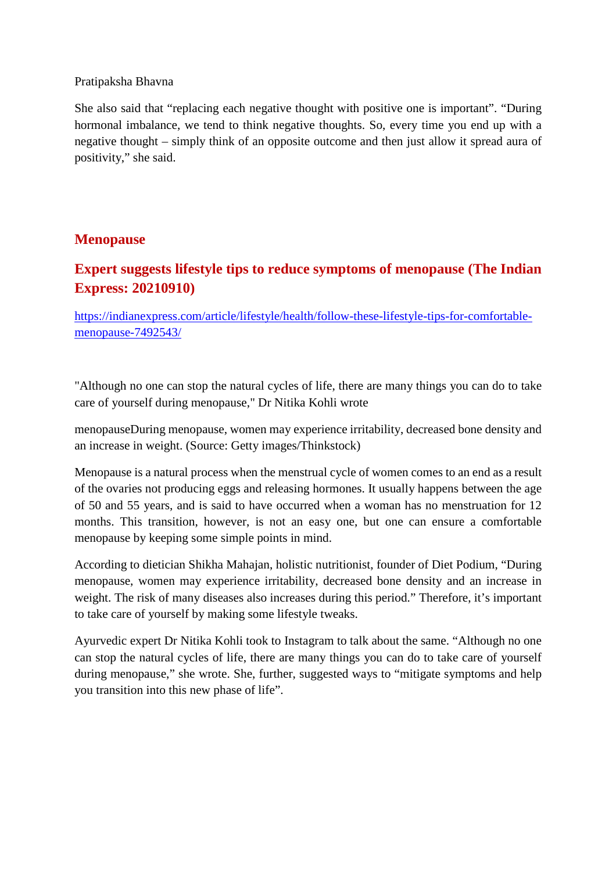#### Pratipaksha Bhavna

She also said that "replacing each negative thought with positive one is important". "During hormonal imbalance, we tend to think negative thoughts. So, every time you end up with a negative thought – simply think of an opposite outcome and then just allow it spread aura of positivity," she said.

### **Menopause**

# **Expert suggests lifestyle tips to reduce symptoms of menopause (The Indian Express: 20210910)**

https://indianexpress.com/article/lifestyle/health/follow-these-lifestyle-tips-for-comfortablemenopause-7492543/

"Although no one can stop the natural cycles of life, there are many things you can do to take care of yourself during menopause," Dr Nitika Kohli wrote

menopauseDuring menopause, women may experience irritability, decreased bone density and an increase in weight. (Source: Getty images/Thinkstock)

Menopause is a natural process when the menstrual cycle of women comes to an end as a result of the ovaries not producing eggs and releasing hormones. It usually happens between the age of 50 and 55 years, and is said to have occurred when a woman has no menstruation for 12 months. This transition, however, is not an easy one, but one can ensure a comfortable menopause by keeping some simple points in mind.

According to dietician Shikha Mahajan, holistic nutritionist, founder of Diet Podium, "During menopause, women may experience irritability, decreased bone density and an increase in weight. The risk of many diseases also increases during this period." Therefore, it's important to take care of yourself by making some lifestyle tweaks.

Ayurvedic expert Dr Nitika Kohli took to Instagram to talk about the same. "Although no one can stop the natural cycles of life, there are many things you can do to take care of yourself during menopause," she wrote. She, further, suggested ways to "mitigate symptoms and help you transition into this new phase of life".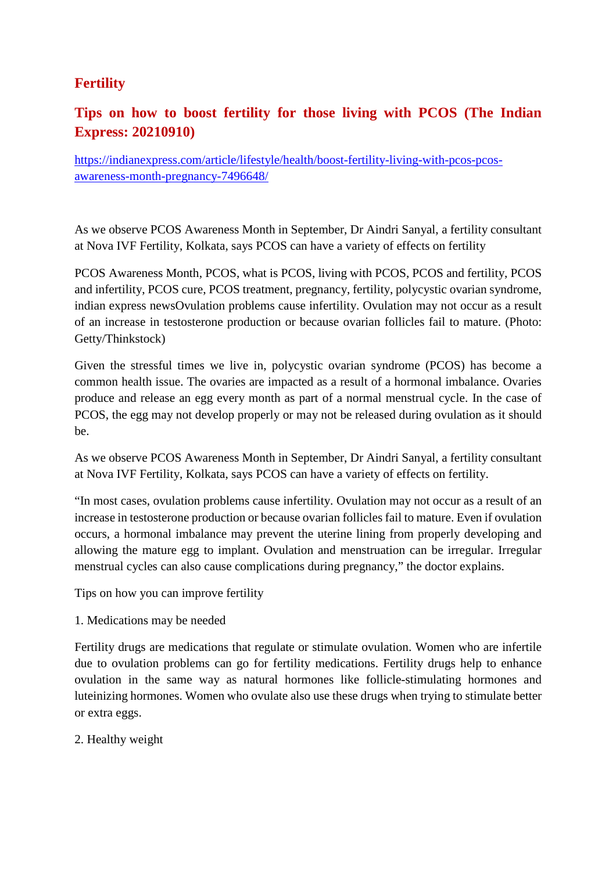# **Fertility**

# **Tips on how to boost fertility for those living with PCOS (The Indian Express: 20210910)**

https://indianexpress.com/article/lifestyle/health/boost-fertility-living-with-pcos-pcosawareness-month-pregnancy-7496648/

As we observe PCOS Awareness Month in September, Dr Aindri Sanyal, a fertility consultant at Nova IVF Fertility, Kolkata, says PCOS can have a variety of effects on fertility

PCOS Awareness Month, PCOS, what is PCOS, living with PCOS, PCOS and fertility, PCOS and infertility, PCOS cure, PCOS treatment, pregnancy, fertility, polycystic ovarian syndrome, indian express newsOvulation problems cause infertility. Ovulation may not occur as a result of an increase in testosterone production or because ovarian follicles fail to mature. (Photo: Getty/Thinkstock)

Given the stressful times we live in, polycystic ovarian syndrome (PCOS) has become a common health issue. The ovaries are impacted as a result of a hormonal imbalance. Ovaries produce and release an egg every month as part of a normal menstrual cycle. In the case of PCOS, the egg may not develop properly or may not be released during ovulation as it should be.

As we observe PCOS Awareness Month in September, Dr Aindri Sanyal, a fertility consultant at Nova IVF Fertility, Kolkata, says PCOS can have a variety of effects on fertility.

"In most cases, ovulation problems cause infertility. Ovulation may not occur as a result of an increase in testosterone production or because ovarian follicles fail to mature. Even if ovulation occurs, a hormonal imbalance may prevent the uterine lining from properly developing and allowing the mature egg to implant. Ovulation and menstruation can be irregular. Irregular menstrual cycles can also cause complications during pregnancy," the doctor explains.

Tips on how you can improve fertility

1. Medications may be needed

Fertility drugs are medications that regulate or stimulate ovulation. Women who are infertile due to ovulation problems can go for fertility medications. Fertility drugs help to enhance ovulation in the same way as natural hormones like follicle-stimulating hormones and luteinizing hormones. Women who ovulate also use these drugs when trying to stimulate better or extra eggs.

2. Healthy weight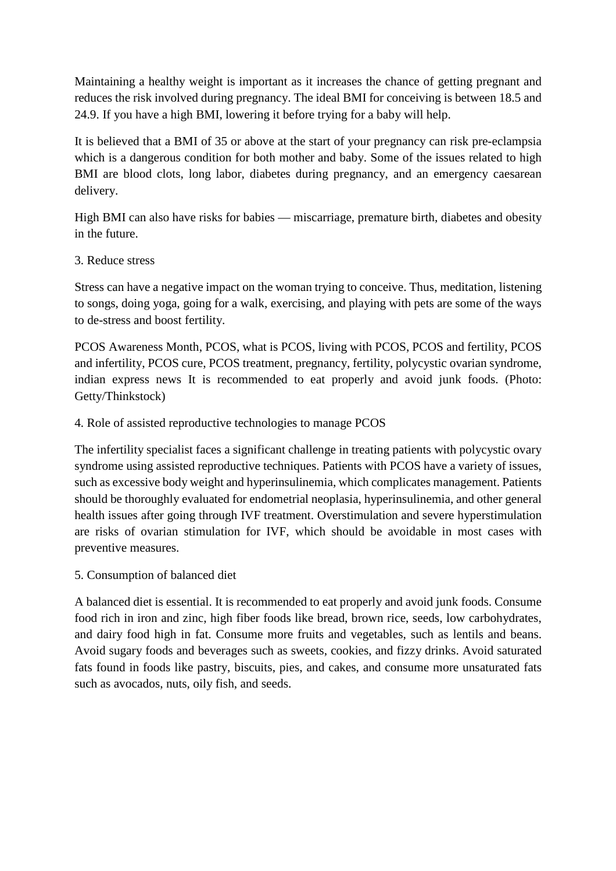Maintaining a healthy weight is important as it increases the chance of getting pregnant and reduces the risk involved during pregnancy. The ideal BMI for conceiving is between 18.5 and 24.9. If you have a high BMI, lowering it before trying for a baby will help.

It is believed that a BMI of 35 or above at the start of your pregnancy can risk pre-eclampsia which is a dangerous condition for both mother and baby. Some of the issues related to high BMI are blood clots, long labor, diabetes during pregnancy, and an emergency caesarean delivery.

High BMI can also have risks for babies — miscarriage, premature birth, diabetes and obesity in the future.

3. Reduce stress

Stress can have a negative impact on the woman trying to conceive. Thus, meditation, listening to songs, doing yoga, going for a walk, exercising, and playing with pets are some of the ways to de-stress and boost fertility.

PCOS Awareness Month, PCOS, what is PCOS, living with PCOS, PCOS and fertility, PCOS and infertility, PCOS cure, PCOS treatment, pregnancy, fertility, polycystic ovarian syndrome, indian express news It is recommended to eat properly and avoid junk foods. (Photo: Getty/Thinkstock)

4. Role of assisted reproductive technologies to manage PCOS

The infertility specialist faces a significant challenge in treating patients with polycystic ovary syndrome using assisted reproductive techniques. Patients with PCOS have a variety of issues, such as excessive body weight and hyperinsulinemia, which complicates management. Patients should be thoroughly evaluated for endometrial neoplasia, hyperinsulinemia, and other general health issues after going through IVF treatment. Overstimulation and severe hyperstimulation are risks of ovarian stimulation for IVF, which should be avoidable in most cases with preventive measures.

5. Consumption of balanced diet

A balanced diet is essential. It is recommended to eat properly and avoid junk foods. Consume food rich in iron and zinc, high fiber foods like bread, brown rice, seeds, low carbohydrates, and dairy food high in fat. Consume more fruits and vegetables, such as lentils and beans. Avoid sugary foods and beverages such as sweets, cookies, and fizzy drinks. Avoid saturated fats found in foods like pastry, biscuits, pies, and cakes, and consume more unsaturated fats such as avocados, nuts, oily fish, and seeds.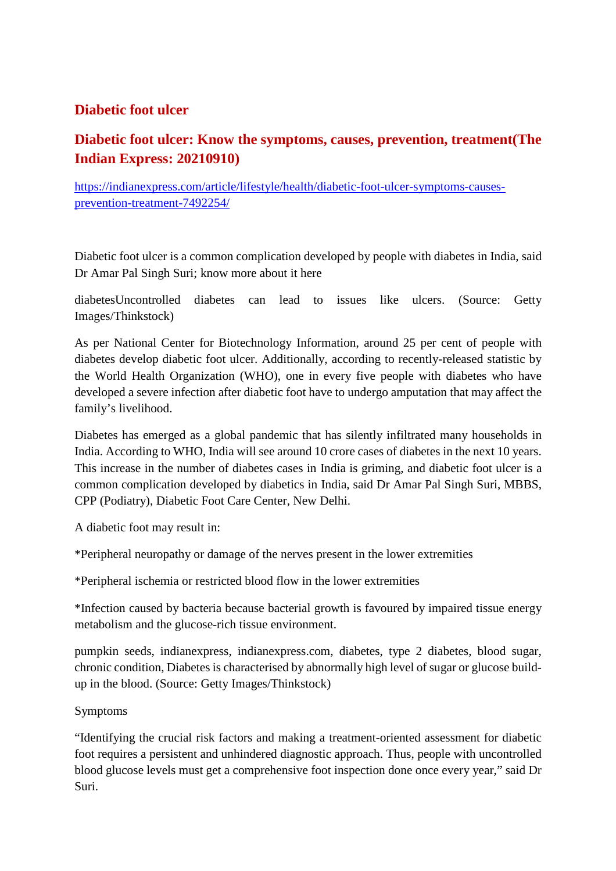## **Diabetic foot ulcer**

# **Diabetic foot ulcer: Know the symptoms, causes, prevention, treatment(The Indian Express: 20210910)**

https://indianexpress.com/article/lifestyle/health/diabetic-foot-ulcer-symptoms-causesprevention-treatment-7492254/

Diabetic foot ulcer is a common complication developed by people with diabetes in India, said Dr Amar Pal Singh Suri; know more about it here

diabetesUncontrolled diabetes can lead to issues like ulcers. (Source: Getty Images/Thinkstock)

As per National Center for Biotechnology Information, around 25 per cent of people with diabetes develop diabetic foot ulcer. Additionally, according to recently-released statistic by the World Health Organization (WHO), one in every five people with diabetes who have developed a severe infection after diabetic foot have to undergo amputation that may affect the family's livelihood.

Diabetes has emerged as a global pandemic that has silently infiltrated many households in India. According to WHO, India will see around 10 crore cases of diabetes in the next 10 years. This increase in the number of diabetes cases in India is griming, and diabetic foot ulcer is a common complication developed by diabetics in India, said Dr Amar Pal Singh Suri, MBBS, CPP (Podiatry), Diabetic Foot Care Center, New Delhi.

A diabetic foot may result in:

\*Peripheral neuropathy or damage of the nerves present in the lower extremities

\*Peripheral ischemia or restricted blood flow in the lower extremities

\*Infection caused by bacteria because bacterial growth is favoured by impaired tissue energy metabolism and the glucose-rich tissue environment.

pumpkin seeds, indianexpress, indianexpress.com, diabetes, type 2 diabetes, blood sugar, chronic condition, Diabetes is characterised by abnormally high level of sugar or glucose buildup in the blood. (Source: Getty Images/Thinkstock)

#### Symptoms

"Identifying the crucial risk factors and making a treatment-oriented assessment for diabetic foot requires a persistent and unhindered diagnostic approach. Thus, people with uncontrolled blood glucose levels must get a comprehensive foot inspection done once every year," said Dr Suri.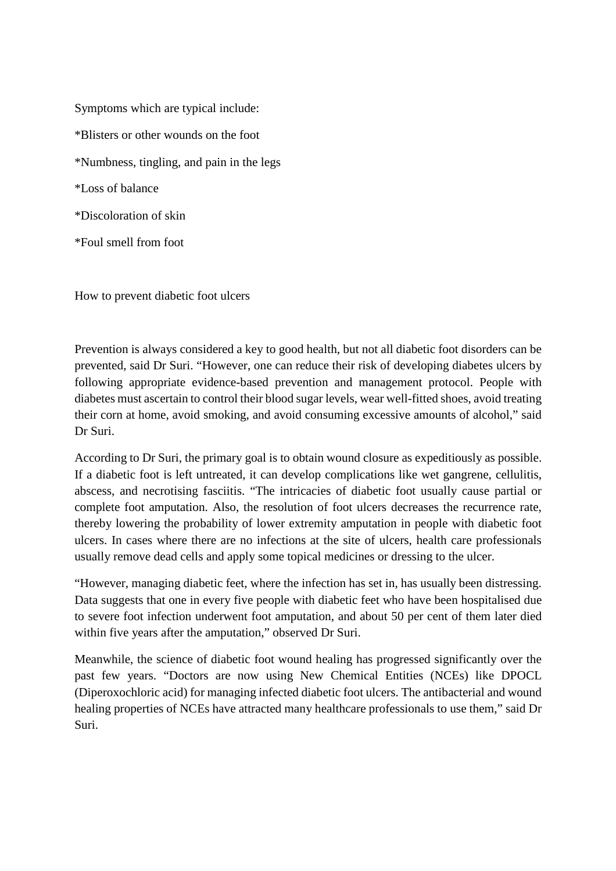Symptoms which are typical include: \*Blisters or other wounds on the foot \*Numbness, tingling, and pain in the legs \*Loss of balance \*Discoloration of skin \*Foul smell from foot

How to prevent diabetic foot ulcers

Prevention is always considered a key to good health, but not all diabetic foot disorders can be prevented, said Dr Suri. "However, one can reduce their risk of developing diabetes ulcers by following appropriate evidence-based prevention and management protocol. People with diabetes must ascertain to control their blood sugar levels, wear well-fitted shoes, avoid treating their corn at home, avoid smoking, and avoid consuming excessive amounts of alcohol," said Dr Suri.

According to Dr Suri, the primary goal is to obtain wound closure as expeditiously as possible. If a diabetic foot is left untreated, it can develop complications like wet gangrene, cellulitis, abscess, and necrotising fasciitis. "The intricacies of diabetic foot usually cause partial or complete foot amputation. Also, the resolution of foot ulcers decreases the recurrence rate, thereby lowering the probability of lower extremity amputation in people with diabetic foot ulcers. In cases where there are no infections at the site of ulcers, health care professionals usually remove dead cells and apply some topical medicines or dressing to the ulcer.

"However, managing diabetic feet, where the infection has set in, has usually been distressing. Data suggests that one in every five people with diabetic feet who have been hospitalised due to severe foot infection underwent foot amputation, and about 50 per cent of them later died within five years after the amputation," observed Dr Suri.

Meanwhile, the science of diabetic foot wound healing has progressed significantly over the past few years. "Doctors are now using New Chemical Entities (NCEs) like DPOCL (Diperoxochloric acid) for managing infected diabetic foot ulcers. The antibacterial and wound healing properties of NCEs have attracted many healthcare professionals to use them," said Dr Suri.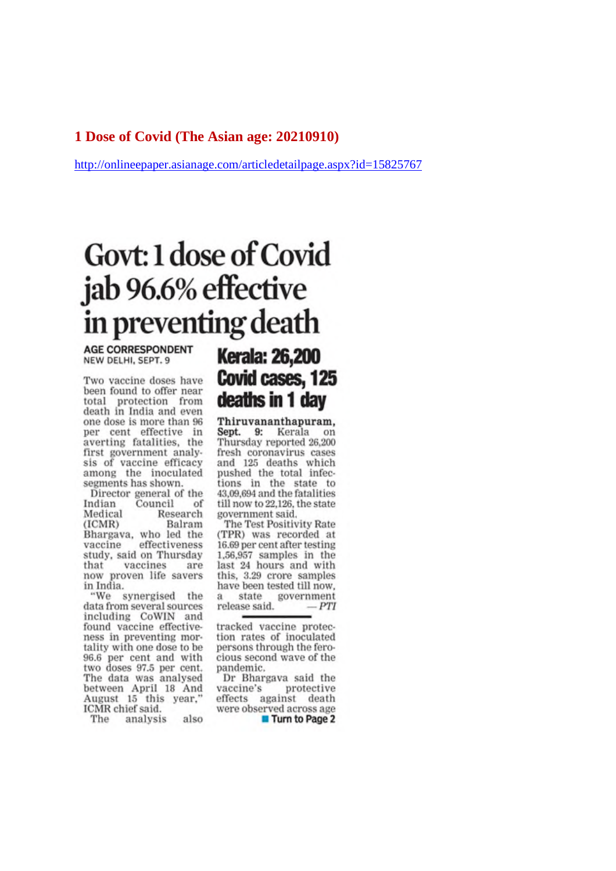#### 1 Dose of Covid (The Asian age: 20210910)

http://onlineepaper.asianage.com/articledetailpage.aspx?id=15825767

# Govt: 1 dose of Covid jab 96.6% effective in preventing death

**AGE CORRESPONDENT** NEW DELHI, SEPT, 9

Two vaccine doses have been found to offer near total protection from<br>death in India and even one dose is more than 96 per cent effective in averting fatalities, the first government analysis of vaccine efficacy among the inoculated segments has shown.

Director general of the Indian Council of Research Medical Balram  $(ICMR)$ Bhargava, who led the effectiveness vaccine study, said on Thursday that vaccines are now proven life savers in India.

"We synergised the data from several sources including CoWIN and found vaccine effectiveness in preventing mortality with one dose to be 96.6 per cent and with two doses 97.5 per cent.<br>The data was analysed between April 18 And August 15 this year," ICMR chief said.

The analysis also

# **Kerala: 26,200** Covid cases, 125 deaths in 1 day

Thiruvananthapuram, Sept. 9: Kerala on Thursday reported 26,200 fresh coronavirus cases and 125 deaths which pushed the total infections in the state to 43,09,694 and the fatalities till now to 22,126, the state government said.

The Test Positivity Rate (TPR) was recorded at 16.69 per cent after testing 1.56,957 samples in the last 24 hours and with this, 3.29 crore samples have been tested till now. a state government release said.  $-PTI$ 

tracked vaccine protection rates of inoculated persons through the ferocious second wave of the pandemic.

Dr Bhargava said the vaccine's protective effects against death were observed across age **Turn to Page 2**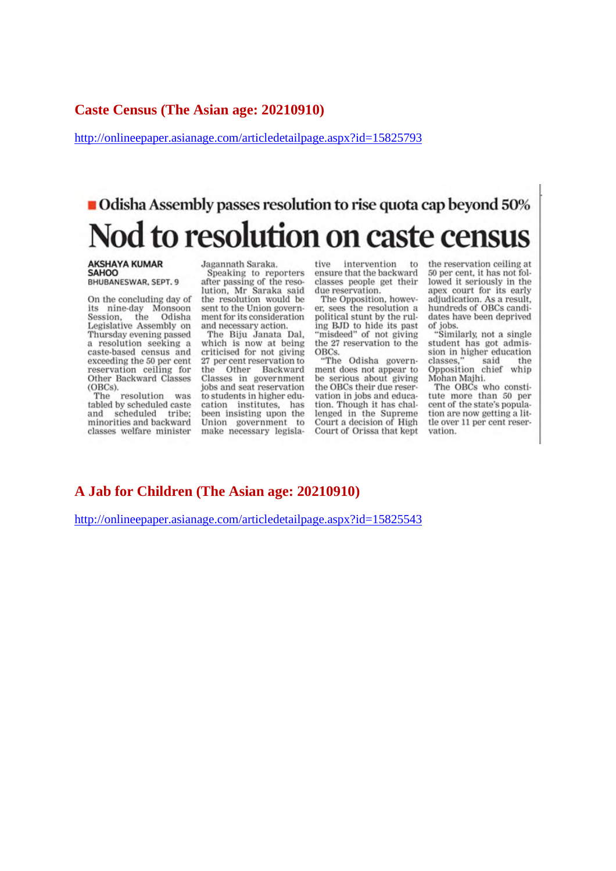#### **Caste Census (The Asian age: 20210910)**

http://onlineepaper.asianage.com/articledetailpage.aspx?id=15825793

# Odisha Assembly passes resolution to rise quota cap beyond 50% Nod to resolution on caste census

#### **AKSHAYA KUMAR**<br>SAHOO BHUBANESWAR, SEPT. 9

On the concluding day of its nine-day Monsoon<br>Session, the Odisha Legislative Assembly on Thursday evening passed a resolution seeking a caste-based census and exceeding the 50 per cent reservation ceiling for Other Backward Classes (OBCs).

resolution was The tabled by scheduled caste and scheduled tribe: minorities and backward classes welfare minister

Jagannath Saraka, Speaking to reporters after passing of the resolution, Mr Saraka said<br>the resolution would be sent to the Union government for its consideration and necessary action.

The Biju Janata Dal, which is now at being<br>criticised for not giving 27 per cent reservation to the Other Backward Classes in government<br>jobs and seat reservation to students in higher education institutes, has been insisting upon the Union government to make necessary legislative intervention to ensure that the backward classes people get their due reservation.

The Opposition, however, sees the resolution a political stunt by the ruling BJD to hide its past<br>"misdeed" of not giving the 27 reservation to the OBCs.

"The Odisha government does not appear to be serious about giving the OBCs their due reservation in jobs and education. Though it has challenged in the Supreme Court a decision of High Court of Orissa that kept

the reservation ceiling at 50 per cent, it has not followed it seriously in the apex court for its early adjudication. As a result, hundreds of OBCs candidates have been deprived of jobs.<br>"Similarly, not a single

student has got admission in higher education classes. said the Opposition chief whip Mohan Majhi.

The OBCs who constitute more than 50 per cent of the state's population are now getting a little over 11 per cent reservation.

#### **A Jab for Children (The Asian age: 20210910)**

http://onlineepaper.asianage.com/articledetailpage.aspx?id=15825543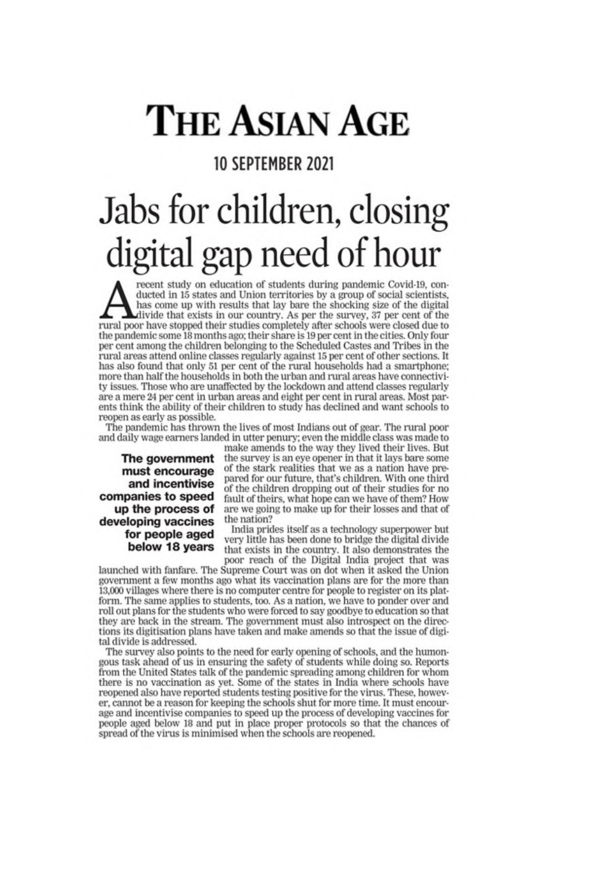# **THE ASIAN AGE**

# 10 SEPTEMBER 2021

# Jabs for children, closing digital gap need of hour

recent study on education of students during pandemic Covid-19, conducted in 15 states and Union territories by a group of social scientists, has come up with results that lay bare the shocking size of the digital divide that exists in our country. As per the survey, 37 per cent of the rural poor have stopped their studies completely after schools were closed due to the pandemic some 18 months ago; their share is 19 per cent in the cities. Only four per cent among the children belonging to the Scheduled Castes and Tribes in the rural areas attend online classes regularly against 15 per cent of other sections. It has also found that only 51 per cent of the rural households had a smartphone; more than half the households in both the urban and rural areas have connectivity issues. Those who are unaffected by the lockdown and attend classes regularly are a mere 24 per cent in urban areas and eight per cent in rural areas. Most parents think the ability of their children to study has declined and want schools to reopen as early as possible.

The pandemic has thrown the lives of most Indians out of gear. The rural poor and daily wage earners landed in utter penury; even the middle class was made to

The government must encourage and incentivise companies to speed up the process of developing vaccines for people aged below 18 years

make amends to the way they lived their lives. But the survey is an eye opener in that it lays bare some of the stark realities that we as a nation have prepared for our future, that's children. With one third of the children dropping out of their studies for no fault of theirs, what hope can we have of them? How are we going to make up for their losses and that of the nation?

India prides itself as a technology superpower but very little has been done to bridge the digital divide that exists in the country. It also demonstrates the poor reach of the Digital India project that was

launched with fanfare. The Supreme Court was on dot when it asked the Union government a few months ago what its vaccination plans are for the more than 13,000 villages where there is no computer centre for people to register on its platform. The same applies to students, too. As a nation, we have to ponder over and roll out plans for the students who were forced to say goodbye to education so that they are back in the stream. The government must also introspect on the directions its digitisation plans have taken and make amends so that the issue of digital divide is addressed.

The survey also points to the need for early opening of schools, and the humongous task ahead of us in ensuring the safety of students while doing so. Reports from the United States talk of the pandemic spreading among children for whom there is no vaccination as yet. Some of the states in India where schools have reopened also have reported students testing positive for the virus. These, however, cannot be a reason for keeping the schools shut for more time. It must encourage and incentivise companies to speed up the process of developing vaccines for people aged below 18 and put in place proper protocols so that the chances of spread of the virus is minimised when the schools are reopened.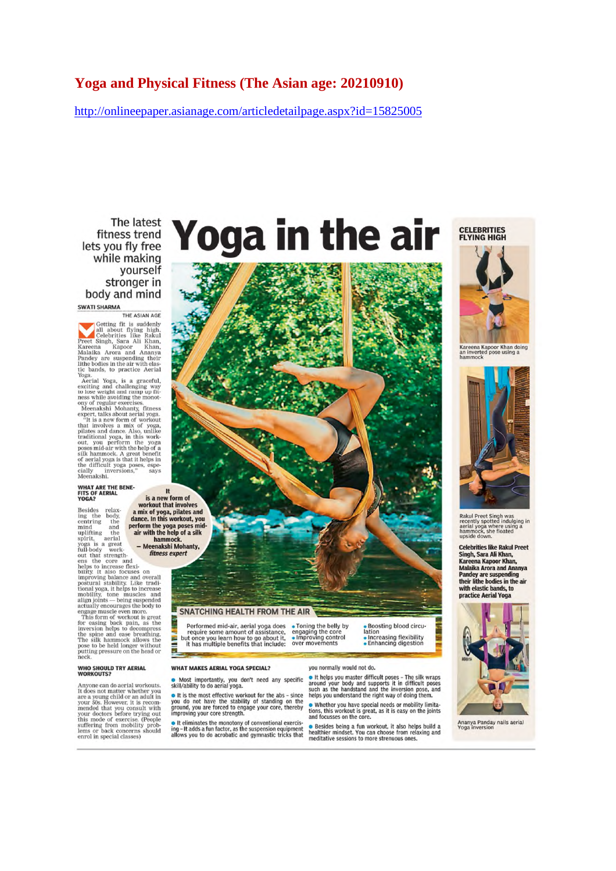#### **Yoga and Physical Fitness (The Asian age: 20210910)**

http://onlineepaper.asianage.com/articledetailpage.aspx?id=15825005

The latest fitness trend lets you fly free while making yourself stronger in body and mind

#### **SWATI SHARMA** THE ASIAN AGE

Getting fit is suddenly<br>all about flying high.<br>Celebrities like Rakul<br>Kareena Kapoor Khan,<br>Malaika Arora and Ananya<br>Malaika Arora and Ananya<br>Malaika Arora and Ananya mandey are suspending their<br>lithe bodies in the air with elas-<br>tic bands, to practice Aerial

If<br>the boutes in the arr wint east<br>tic bands, to practice Aerial<br>Yoga.<br>The carried Aerial Yoga, is a graceful,<br>exciting and challenging way<br>consider a computer of the boundary of regular exercises.<br>Meenakshi Mohanty, fitne

# WHAT ARE THE BENE-<br>FITS OF AERIAL<br>YOGA?

is a new form of<br>a mix of yoga, pilates and<br>dance. In this workout, you<br>perform the yoga poses mid-<br>air with the help of a silk Besides relax-<br>ing the body,<br>centring the<br>mind and<br>uplifting the<br>spirit, aerial mind and **erform the**<br>
uniffing the **air with the**<br>
spirit, aerial<br>
yoga is a great<br>
tout that strength-<br>
tout and the spirit oncrease flat-<br>
tout be concerned<br>
behind the concerned<br>
behind the concerned behind on the pos hammock.<br>- Meenakshi Mohanty,

#### **WHO SHOULD TRY AERIAL**<br>WORKOUTS?

**Processor** and o aerial workouts.<br>It does not matter whether you are a young child or an adult in<br>your 50s. However, it is recommended that you consult with<br>your doctors before trying out<br>this mode of exercise. (People su

# Yoga in the air

**SNATCHING HEALTH FROM THE AIR** 

Performed mid-air, aerial yoga does<br>require some amount of assistance,<br>but once you learn how to go about it,<br>it has multiple benefits that include: **SILLER** 

#### **WHAT MAKES AERIAL YOGA SPECIAL?**

• Most importantly, you don't need any specific<br>skill/ability to do aerial yoga.

• It is the most effective workout for the abs - since you do not have the stability of standing on the<br>ground, you are forced to engage your core, thereby<br>improving your core strength.

• It eliminates the monotony of conventional exercising – It adds a fun factor, as the suspension equipment allows you to do acrobatic and gymnastic tricks that

you normally would not do.

• Toning the belly by

• Forming the belly by<br>engaging the core<br>• Improving control<br>over movements

**Profile the system and the system of the system of the system and your body and supports it in difficult poses**<br>around your body and supports it in difficult poses<br>helps you understand the right way of doing them.

lation

Boosting blood circu-

Lation<br>● Increasing flexibility<br>● Enhancing digestion

• Whether you have special needs or mobility limitations, this workout is great, as it is easy on the joints and focusses on the core.

• Besides being a fun workout, it also helps build a healthier mindset. You can choose from relaxing and meditative sessions to more strenuous ones.

**CELEBRITIES**<br>FLYING HIGH



Kareena Kapoor Khan doing<br>an inverted pose using a<br>hammock



Rakul Preet Singh was<br>recently spotted indulging in Recently spotted indulging<br>aerial yoga where using a<br>hammock, she floated<br>upside down.

**Celebrities like Rakul Preet** Singh, Sara Ali Khan,<br>Kareena Kapoor Khan, **Malaika Arora and Ananya** Pandey are suspending<br>their lithe bodies in the air with elastic hands to practice Aerial Yoga



Ananya Panday nails aerial<br>Yoga inversion

It is a new form of

fitness expert